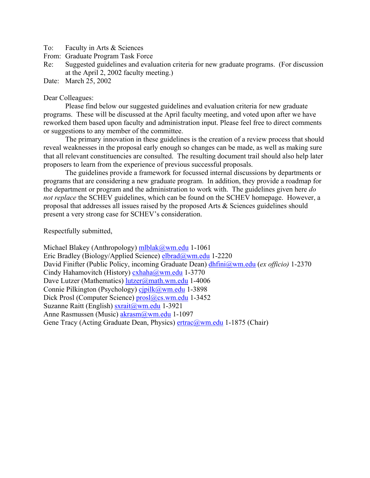To: Faculty in Arts & Sciences

From: Graduate Program Task Force

Re: Suggested guidelines and evaluation criteria for new graduate programs. (For discussion at the April 2, 2002 faculty meeting.)

Date: March 25, 2002

#### Dear Colleagues:

 Please find below our suggested guidelines and evaluation criteria for new graduate programs. These will be discussed at the April faculty meeting, and voted upon after we have reworked them based upon faculty and administration input. Please feel free to direct comments or suggestions to any member of the committee.

The primary innovation in these guidelines is the creation of a review process that should reveal weaknesses in the proposal early enough so changes can be made, as well as making sure that all relevant constituencies are consulted. The resulting document trail should also help later proposers to learn from the experience of previous successful proposals.

The guidelines provide a framework for focussed internal discussions by departments or programs that are considering a new graduate program. In addition, they provide a roadmap for the department or program and the administration to work with. The guidelines given here *do not replace* the SCHEV guidelines, which can be found on the SCHEV homepage. However, a proposal that addresses all issues raised by the proposed Arts & Sciences guidelines should present a very strong case for SCHEV's consideration.

Respectfully submitted,

Michael Blakey (Anthropology) [mlblak@wm.edu](mailto:mlblak@wm.edu) 1-1061 Eric Bradley (Biology/Applied Science) [elbrad@wm.edu](mailto:elbrad@wm.edu) 1-2220 David Finifter (Public Policy, incoming Graduate Dean) [dhfini@wm.edu](mailto:dhfini@wm.edu) (*ex officio)* 1-2370 Cindy Hahamovitch (History) [cxhaha@wm.edu](mailto:cxhaha@wm.edu) 1-3770 Dave Lutzer (Mathematics) [lutzer@math.wm.edu](mailto:lutzer@math.wm.edu) 1-4006 Connie Pilkington (Psychology) [cjpilk@wm.edu](mailto:cjpilk@wm.edu) 1-3898 Dick Prosl (Computer Science) [prosl@cs.wm.edu](mailto:prosl@cs.wm.edu) 1-3452 Suzanne Raitt (English) [sxrait@wm.edu](mailto:sxrait@wm.edu) 1-3921 Anne Rasmussen (Music) [akrasm@wm.edu](mailto:akrasm@wm.edu) 1-1097 Gene Tracy (Acting Graduate Dean, Physics) [ertrac@wm.edu](mailto:ertrac@wm.edu) 1-1875 (Chair)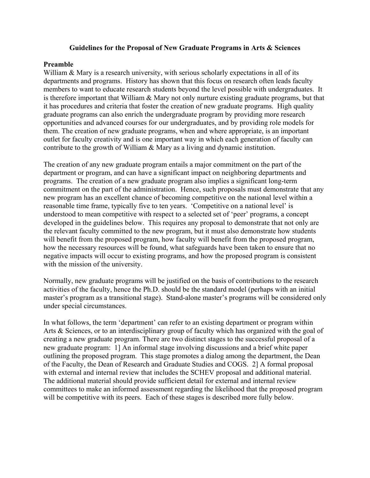### **Guidelines for the Proposal of New Graduate Programs in Arts & Sciences**

### **Preamble**

William & Mary is a research university, with serious scholarly expectations in all of its departments and programs. History has shown that this focus on research often leads faculty members to want to educate research students beyond the level possible with undergraduates. It is therefore important that William & Mary not only nurture existing graduate programs, but that it has procedures and criteria that foster the creation of new graduate programs. High quality graduate programs can also enrich the undergraduate program by providing more research opportunities and advanced courses for our undergraduates, and by providing role models for them. The creation of new graduate programs, when and where appropriate, is an important outlet for faculty creativity and is one important way in which each generation of faculty can contribute to the growth of William & Mary as a living and dynamic institution.

The creation of any new graduate program entails a major commitment on the part of the department or program, and can have a significant impact on neighboring departments and programs. The creation of a new graduate program also implies a significant long-term commitment on the part of the administration. Hence, such proposals must demonstrate that any new program has an excellent chance of becoming competitive on the national level within a reasonable time frame, typically five to ten years. 'Competitive on a national level' is understood to mean competitive with respect to a selected set of 'peer' programs, a concept developed in the guidelines below. This requires any proposal to demonstrate that not only are the relevant faculty committed to the new program, but it must also demonstrate how students will benefit from the proposed program, how faculty will benefit from the proposed program, how the necessary resources will be found, what safeguards have been taken to ensure that no negative impacts will occur to existing programs, and how the proposed program is consistent with the mission of the university.

Normally, new graduate programs will be justified on the basis of contributions to the research activities of the faculty, hence the Ph.D. should be the standard model (perhaps with an initial master's program as a transitional stage). Stand-alone master's programs will be considered only under special circumstances.

In what follows, the term 'department' can refer to an existing department or program within Arts & Sciences, or to an interdisciplinary group of faculty which has organized with the goal of creating a new graduate program. There are two distinct stages to the successful proposal of a new graduate program: 1] An informal stage involving discussions and a brief white paper outlining the proposed program. This stage promotes a dialog among the department, the Dean of the Faculty, the Dean of Research and Graduate Studies and COGS. 2] A formal proposal with external and internal review that includes the SCHEV proposal and additional material. The additional material should provide sufficient detail for external and internal review committees to make an informed assessment regarding the likelihood that the proposed program will be competitive with its peers. Each of these stages is described more fully below.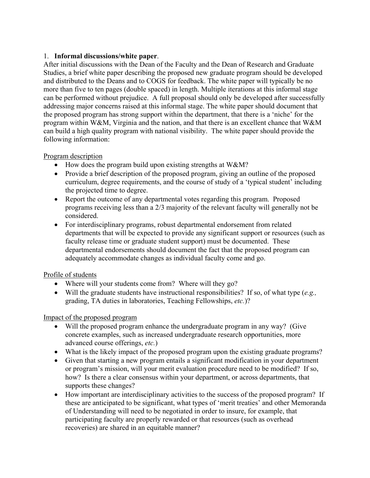### 1. **Informal discussions/white paper**.

After initial discussions with the Dean of the Faculty and the Dean of Research and Graduate Studies, a brief white paper describing the proposed new graduate program should be developed and distributed to the Deans and to COGS for feedback. The white paper will typically be no more than five to ten pages (double spaced) in length. Multiple iterations at this informal stage can be performed without prejudice. A full proposal should only be developed after successfully addressing major concerns raised at this informal stage. The white paper should document that the proposed program has strong support within the department, that there is a 'niche' for the program within W&M, Virginia and the nation, and that there is an excellent chance that W&M can build a high quality program with national visibility. The white paper should provide the following information:

# Program description

- How does the program build upon existing strengths at W&M?
- Provide a brief description of the proposed program, giving an outline of the proposed curriculum, degree requirements, and the course of study of a 'typical student' including the projected time to degree.
- Report the outcome of any departmental votes regarding this program. Proposed programs receiving less than a 2/3 majority of the relevant faculty will generally not be considered.
- For interdisciplinary programs, robust departmental endorsement from related departments that will be expected to provide any significant support or resources (such as faculty release time or graduate student support) must be documented. These departmental endorsements should document the fact that the proposed program can adequately accommodate changes as individual faculty come and go.

# Profile of students

- Where will your students come from? Where will they go?
- Will the graduate students have instructional responsibilities? If so, of what type (*e.g.,* grading, TA duties in laboratories, Teaching Fellowships, *etc.*)?

# Impact of the proposed program

- Will the proposed program enhance the undergraduate program in any way? (Give concrete examples, such as increased undergraduate research opportunities, more advanced course offerings, *etc.*)
- What is the likely impact of the proposed program upon the existing graduate programs?
- Given that starting a new program entails a significant modification in your department or program's mission, will your merit evaluation procedure need to be modified? If so, how? Is there a clear consensus within your department, or across departments, that supports these changes?
- How important are interdisciplinary activities to the success of the proposed program? If these are anticipated to be significant, what types of 'merit treaties' and other Memoranda of Understanding will need to be negotiated in order to insure, for example, that participating faculty are properly rewarded or that resources (such as overhead recoveries) are shared in an equitable manner?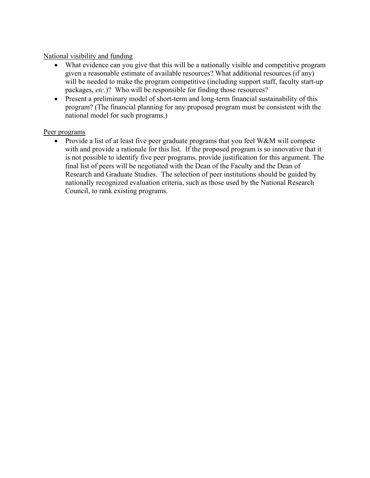### National visibility and funding

- What evidence can you give that this will be a nationally visible and competitive program given a reasonable estimate of available resources? What additional resources (if any) will be needed to make the program competitive (including support staff, faculty start-up packages, *etc.*)? Who will be responsible for finding those resources?
- Present a preliminary model of short-term and long-term financial sustainability of this program? (The financial planning for any proposed program must be consistent with the national model for such programs.)

### Peer programs

• Provide a list of at least five peer graduate programs that you feel W&M will compete with and provide a rationale for this list. If the proposed program is so innovative that it is not possible to identify five peer programs, provide justification for this argument. The final list of peers will be negotiated with the Dean of the Faculty and the Dean of Research and Graduate Studies. The selection of peer institutions should be guided by nationally recognized evaluation criteria, such as those used by the National Research Council, to rank existing programs.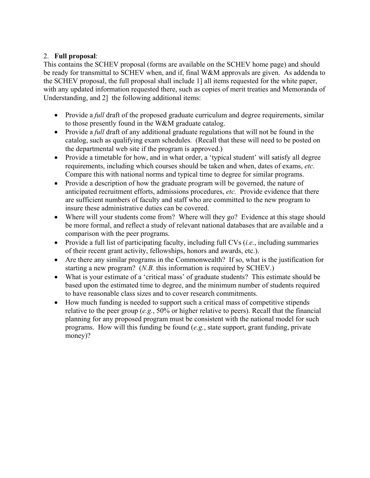# 2. **Full proposal**:

This contains the SCHEV proposal (forms are available on the SCHEV home page) and should be ready for transmittal to SCHEV when, and if, final W&M approvals are given. As addenda to the SCHEV proposal, the full proposal shall include 1] all items requested for the white paper, with any updated information requested there, such as copies of merit treaties and Memoranda of Understanding, and 2] the following additional items:

- Provide a *full* draft of the proposed graduate curriculum and degree requirements, similar to those presently found in the W&M graduate catalog.
- Provide a *full* draft of any additional graduate regulations that will not be found in the catalog, such as qualifying exam schedules. (Recall that these will need to be posted on the departmental web site if the program is approved.)
- Provide a timetable for how, and in what order, a 'typical student' will satisfy all degree requirements, including which courses should be taken and when, dates of exams, *etc.* Compare this with national norms and typical time to degree for similar programs.
- Provide a description of how the graduate program will be governed, the nature of anticipated recruitment efforts, admissions procedures, *etc.* Provide evidence that there are sufficient numbers of faculty and staff who are committed to the new program to insure these administrative duties can be covered.
- Where will your students come from? Where will they go? Evidence at this stage should be more formal, and reflect a study of relevant national databases that are available and a comparison with the peer programs.
- Provide a full list of participating faculty, including full CVs (*i.e.*, including summaries of their recent grant activity, fellowships, honors and awards, etc.).
- Are there any similar programs in the Commonwealth? If so, what is the justification for starting a new program? (*N.B.* this information is required by SCHEV.)
- What is your estimate of a 'critical mass' of graduate students? This estimate should be based upon the estimated time to degree, and the minimum number of students required to have reasonable class sizes and to cover research commitments.
- How much funding is needed to support such a critical mass of competitive stipends relative to the peer group (*e.g.*, 50% or higher relative to peers). Recall that the financial planning for any proposed program must be consistent with the national model for such programs. How will this funding be found (*e.g.*, state support, grant funding, private money)?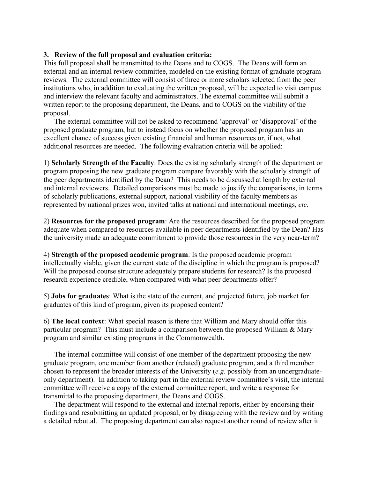### **3. Review of the full proposal and evaluation criteria:**

This full proposal shall be transmitted to the Deans and to COGS. The Deans will form an external and an internal review committee, modeled on the existing format of graduate program reviews. The external committee will consist of three or more scholars selected from the peer institutions who, in addition to evaluating the written proposal, will be expected to visit campus and interview the relevant faculty and administrators. The external committee will submit a written report to the proposing department, the Deans, and to COGS on the viability of the proposal.

The external committee will not be asked to recommend 'approval' or 'disapproval' of the proposed graduate program, but to instead focus on whether the proposed program has an excellent chance of success given existing financial and human resources or, if not, what additional resources are needed. The following evaluation criteria will be applied:

1) **Scholarly Strength of the Faculty**: Does the existing scholarly strength of the department or program proposing the new graduate program compare favorably with the scholarly strength of the peer departments identified by the Dean? This needs to be discussed at length by external and internal reviewers. Detailed comparisons must be made to justify the comparisons, in terms of scholarly publications, external support, national visibility of the faculty members as represented by national prizes won, invited talks at national and international meetings, *etc.*

2) **Resources for the proposed program**: Are the resources described for the proposed program adequate when compared to resources available in peer departments identified by the Dean? Has the university made an adequate commitment to provide those resources in the very near-term?

4) **Strength of the proposed academic program**: Is the proposed academic program intellectually viable, given the current state of the discipline in which the program is proposed? Will the proposed course structure adequately prepare students for research? Is the proposed research experience credible, when compared with what peer departments offer?

5) **Jobs for graduates**: What is the state of the current, and projected future, job market for graduates of this kind of program, given its proposed content?

6) **The local context**: What special reason is there that William and Mary should offer this particular program? This must include a comparison between the proposed William & Mary program and similar existing programs in the Commonwealth.

The internal committee will consist of one member of the department proposing the new graduate program, one member from another (related) graduate program, and a third member chosen to represent the broader interests of the University (*e.g.* possibly from an undergraduateonly department). In addition to taking part in the external review committee's visit, the internal committee will receive a copy of the external committee report, and write a response for transmittal to the proposing department, the Deans and COGS.

The department will respond to the external and internal reports, either by endorsing their findings and resubmitting an updated proposal, or by disagreeing with the review and by writing a detailed rebuttal. The proposing department can also request another round of review after it